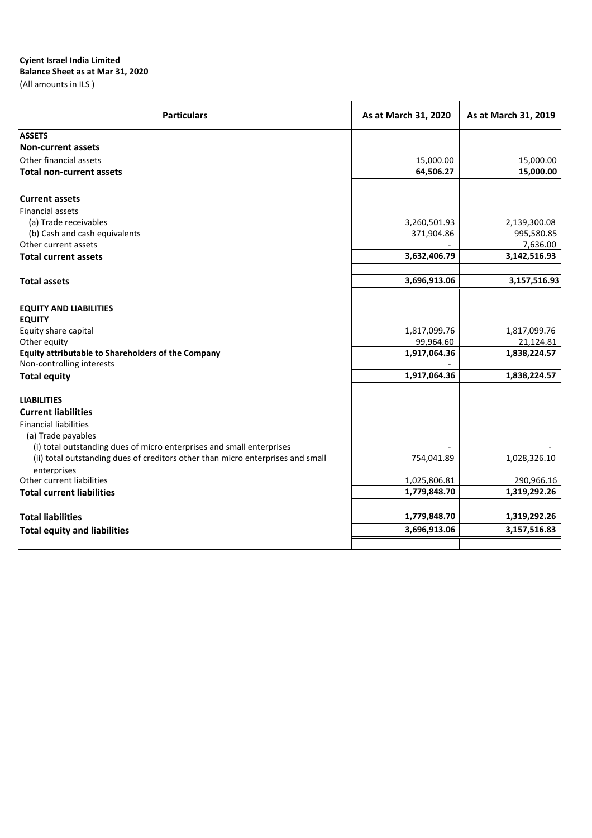# **Balance Sheet as at Mar 31, 2020**

(All amounts in ILS )

| <b>Particulars</b>                                                                             | As at March 31, 2020 | As at March 31, 2019 |
|------------------------------------------------------------------------------------------------|----------------------|----------------------|
| <b>ASSETS</b>                                                                                  |                      |                      |
| <b>Non-current assets</b>                                                                      |                      |                      |
| Other financial assets                                                                         | 15,000.00            | 15,000.00            |
| <b>Total non-current assets</b>                                                                | 64,506.27            | 15,000.00            |
| <b>Current assets</b>                                                                          |                      |                      |
| Financial assets                                                                               |                      |                      |
| (a) Trade receivables                                                                          | 3,260,501.93         | 2,139,300.08         |
| (b) Cash and cash equivalents                                                                  | 371,904.86           | 995,580.85           |
| Other current assets                                                                           |                      | 7,636.00             |
| <b>Total current assets</b>                                                                    | 3,632,406.79         | 3,142,516.93         |
| <b>Total assets</b>                                                                            | 3,696,913.06         | 3,157,516.93         |
| <b>EQUITY AND LIABILITIES</b>                                                                  |                      |                      |
| <b>EQUITY</b>                                                                                  |                      |                      |
| Equity share capital                                                                           | 1,817,099.76         | 1,817,099.76         |
| Other equity                                                                                   | 99,964.60            | 21,124.81            |
| Equity attributable to Shareholders of the Company                                             | 1,917,064.36         | 1,838,224.57         |
| Non-controlling interests                                                                      |                      |                      |
| <b>Total equity</b>                                                                            | 1,917,064.36         | 1,838,224.57         |
| <b>LIABILITIES</b>                                                                             |                      |                      |
| <b>Current liabilities</b>                                                                     |                      |                      |
| <b>Financial liabilities</b>                                                                   |                      |                      |
| (a) Trade payables                                                                             |                      |                      |
| (i) total outstanding dues of micro enterprises and small enterprises                          |                      |                      |
| (ii) total outstanding dues of creditors other than micro enterprises and small<br>enterprises | 754,041.89           | 1,028,326.10         |
| Other current liabilities                                                                      | 1,025,806.81         | 290,966.16           |
| <b>Total current liabilities</b>                                                               | 1,779,848.70         | 1,319,292.26         |
| <b>Total liabilities</b>                                                                       | 1,779,848.70         | 1,319,292.26         |
| <b>Total equity and liabilities</b>                                                            | 3,696,913.06         | 3,157,516.83         |
|                                                                                                |                      |                      |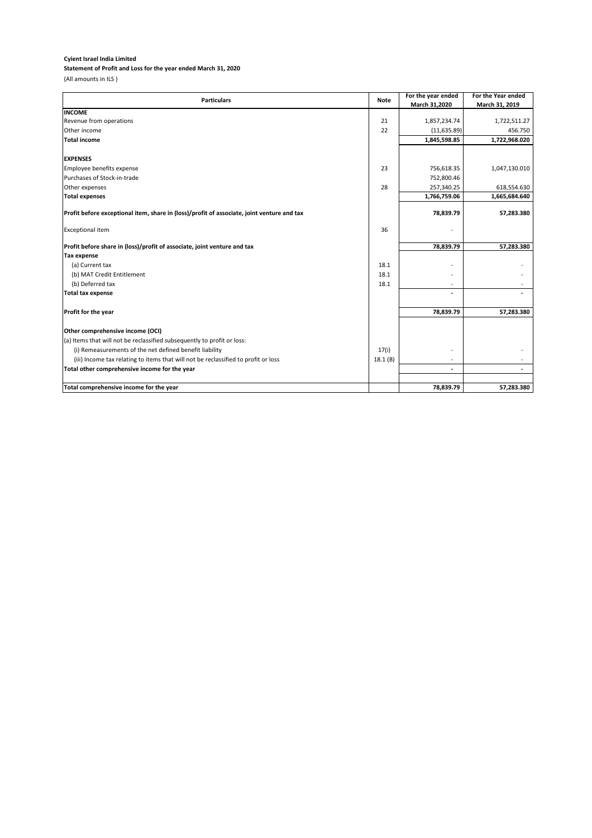# **Statement of Profit and Loss for the year ended March 31, 2020**

(All amounts in ILS )

| <b>Particulars</b>                                                                         | <b>Note</b> | For the year ended       | For the Year ended |
|--------------------------------------------------------------------------------------------|-------------|--------------------------|--------------------|
|                                                                                            |             | March 31,2020            | March 31, 2019     |
| <b>INCOME</b>                                                                              |             |                          |                    |
| Revenue from operations                                                                    | 21          | 1,857,234.74             | 1,722,511.27       |
| Other income                                                                               | 22          | (11, 635.89)             | 456.750            |
| <b>Total income</b>                                                                        |             | 1,845,598.85             | 1,722,968.020      |
|                                                                                            |             |                          |                    |
| <b>EXPENSES</b>                                                                            |             |                          |                    |
| Employee benefits expense                                                                  | 23          | 756,618.35               | 1,047,130.010      |
| Purchases of Stock-in-trade                                                                |             | 752,800.46               |                    |
| Other expenses                                                                             | 28          | 257,340.25               | 618,554.630        |
| <b>Total expenses</b>                                                                      |             | 1,766,759.06             | 1,665,684.640      |
| Profit before exceptional item, share in (loss)/profit of associate, joint venture and tax |             | 78,839.79                | 57,283.380         |
| <b>Exceptional item</b>                                                                    | 36          |                          |                    |
| Profit before share in (loss)/profit of associate, joint venture and tax                   |             | 78,839.79                | 57,283.380         |
| <b>Tax expense</b>                                                                         |             |                          |                    |
| (a) Current tax                                                                            | 18.1        |                          |                    |
| (b) MAT Credit Entitlement                                                                 | 18.1        |                          |                    |
| (b) Deferred tax                                                                           | 18.1        |                          |                    |
| <b>Total tax expense</b>                                                                   |             |                          |                    |
| Profit for the year                                                                        |             | 78,839.79                | 57,283.380         |
| Other comprehensive income (OCI)                                                           |             |                          |                    |
| (a) Items that will not be reclassified subsequently to profit or loss:                    |             |                          |                    |
| (i) Remeasurements of the net defined benefit liability                                    | 17(i)       |                          |                    |
| (iii) Income tax relating to items that will not be reclassified to profit or loss         | 18.1(B)     | $\overline{\phantom{a}}$ |                    |
| Total other comprehensive income for the year                                              |             |                          |                    |
|                                                                                            |             |                          |                    |
| Total comprehensive income for the year                                                    |             | 78,839.79                | 57,283.380         |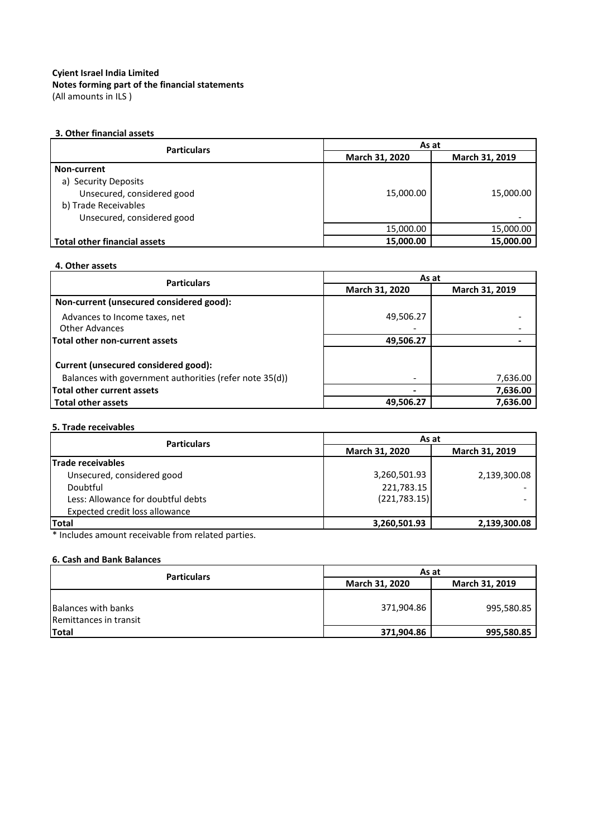(All amounts in ILS ) **Notes forming part of the financial statements**

### **3. Other financial assets**

| <b>Particulars</b>           | As at          |                |
|------------------------------|----------------|----------------|
|                              | March 31, 2020 | March 31, 2019 |
| Non-current                  |                |                |
| a) Security Deposits         |                |                |
| Unsecured, considered good   | 15,000.00      | 15,000.00      |
| b) Trade Receivables         |                |                |
| Unsecured, considered good   |                |                |
|                              | 15,000.00      | 15,000.00      |
| Total other financial assets | 15,000.00      | 15,000.00      |

### **4. Other assets**

| <b>Particulars</b>                                      | As at          |                |
|---------------------------------------------------------|----------------|----------------|
|                                                         | March 31, 2020 | March 31, 2019 |
| Non-current (unsecured considered good):                |                |                |
| Advances to Income taxes, net                           | 49,506.27      |                |
| <b>Other Advances</b>                                   |                |                |
| Total other non-current assets                          | 49,506.27      |                |
|                                                         |                |                |
| Current (unsecured considered good):                    |                |                |
| Balances with government authorities (refer note 35(d)) |                | 7,636.00       |
| Total other current assets                              |                | 7,636.00       |
| Total other assets                                      | 49,506.27      | 7,636.00       |

### **5. Trade receivables**

| <b>Particulars</b>                 | As at          |                |  |
|------------------------------------|----------------|----------------|--|
|                                    | March 31, 2020 | March 31, 2019 |  |
| Trade receivables                  |                |                |  |
| Unsecured, considered good         | 3,260,501.93   | 2,139,300.08   |  |
| Doubtful                           | 221,783.15     |                |  |
| Less: Allowance for doubtful debts | (221, 783.15)  |                |  |
| Expected credit loss allowance     |                |                |  |
| <b>Total</b>                       | 3,260,501.93   | 2,139,300.08   |  |

\* Includes amount receivable from related parties.

### **6. Cash and Bank Balances**

| <b>Particulars</b>                                   | As at                                   |            |
|------------------------------------------------------|-----------------------------------------|------------|
|                                                      | <b>March 31, 2020</b><br>March 31, 2019 |            |
| <b>Balances with banks</b><br>Remittances in transit | 371,904.86                              | 995,580.85 |
| <b>Total</b>                                         | 371,904.86                              | 995,580.85 |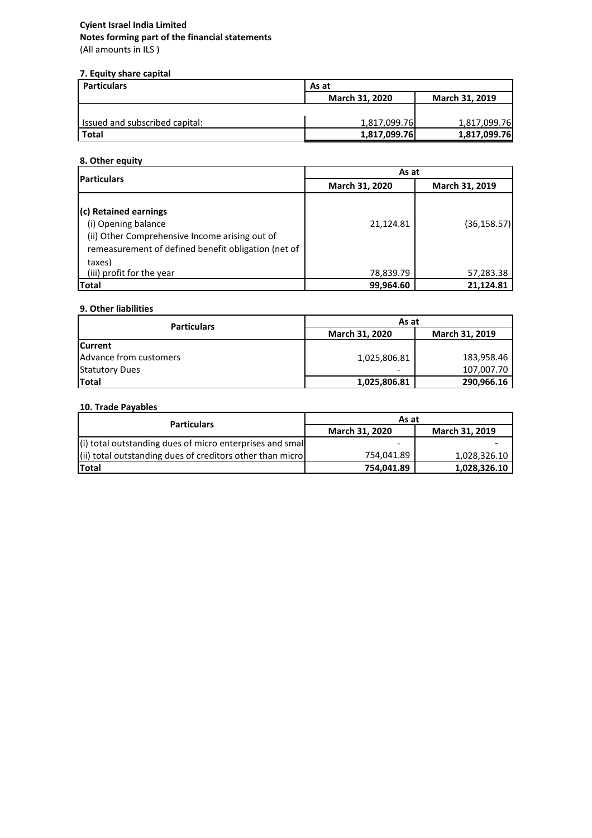# **Notes forming part of the financial statements Cyient Israel India Limited**

(All amounts in ILS )

### **7. Equity share capital**

| <b>Particulars</b>             | As at                 |                |
|--------------------------------|-----------------------|----------------|
|                                | <b>March 31, 2020</b> | March 31, 2019 |
|                                |                       |                |
| Issued and subscribed capital: | 1,817,099.76          | 1,817,099.76   |
| <b>Total</b>                   | 1,817,099.76          | 1,817,099.76   |

### **8. Other equity**

|                                                                                                                                                                 | As at          |                |  |
|-----------------------------------------------------------------------------------------------------------------------------------------------------------------|----------------|----------------|--|
| <b>Particulars</b>                                                                                                                                              | March 31, 2020 | March 31, 2019 |  |
| (c) Retained earnings<br>(i) Opening balance<br>(ii) Other Comprehensive Income arising out of<br>remeasurement of defined benefit obligation (net of<br>taxes) | 21,124.81      | (36,158.57)    |  |
| (iii) profit for the year                                                                                                                                       | 78,839.79      | 57,283.38      |  |
| <b>Total</b>                                                                                                                                                    | 99,964.60      | 21,124.81      |  |

### **9. Other liabilities**

| <b>Particulars</b>     | As at                                   |            |
|------------------------|-----------------------------------------|------------|
|                        | <b>March 31, 2020</b><br>March 31, 2019 |            |
| <b>ICurrent</b>        |                                         |            |
| Advance from customers | 1,025,806.81                            | 183,958.46 |
| <b>Statutory Dues</b>  | -                                       | 107,007.70 |
| Total                  | 1,025,806.81                            | 290,966.16 |

### **10. Trade Payables**

| <b>Particulars</b>                                        | As at                 |                       |
|-----------------------------------------------------------|-----------------------|-----------------------|
|                                                           | <b>March 31, 2020</b> | <b>March 31, 2019</b> |
| (i) total outstanding dues of micro enterprises and small | -                     |                       |
| (ii) total outstanding dues of creditors other than micro | 754.041.89            | 1.028.326.10          |
| <b>Total</b>                                              | 754.041.89            | 1.028.326.10          |